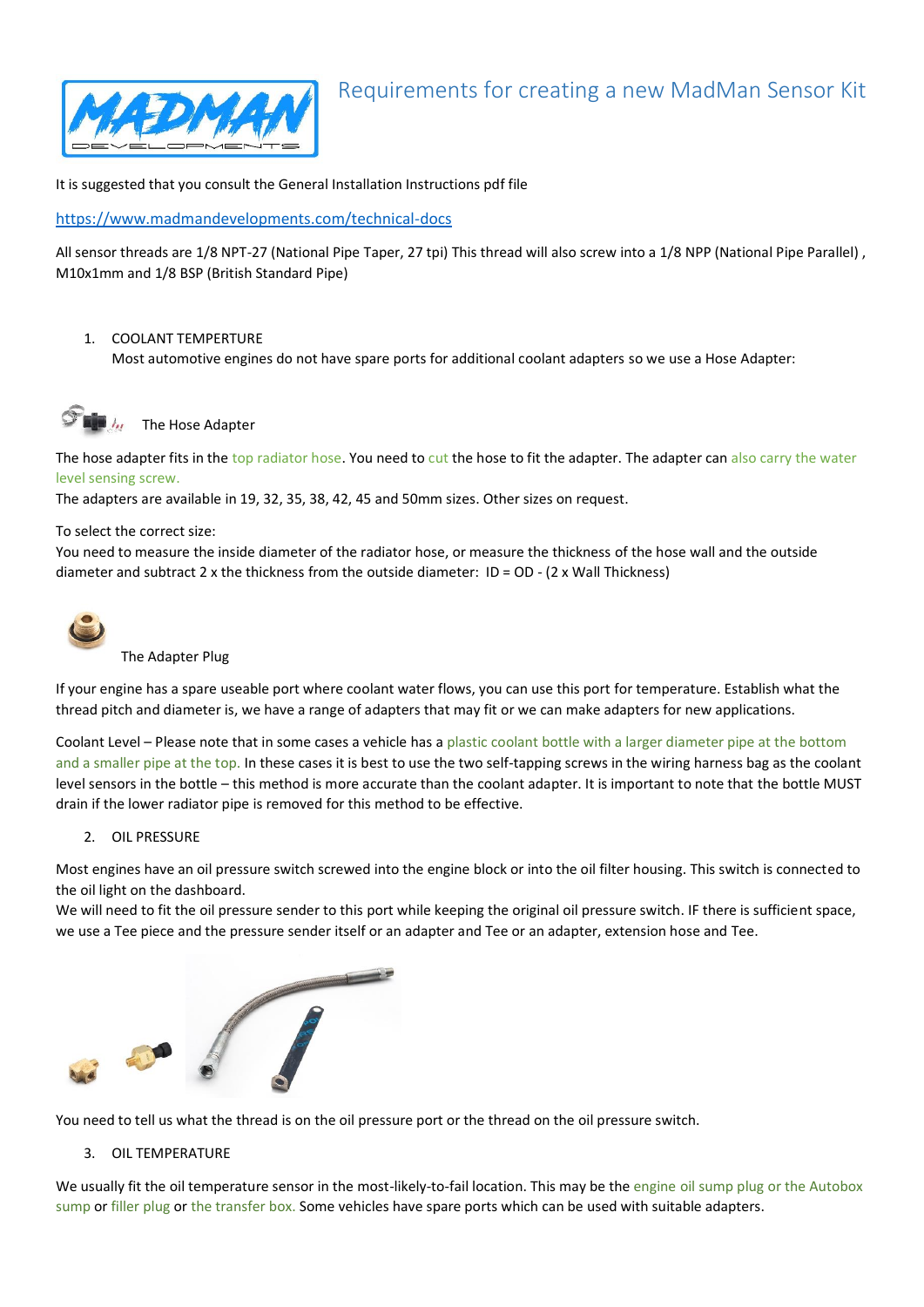

# Requirements for creating a new MadMan Sensor Kit

It is suggested that you consult the General Installation Instructions pdf file

<https://www.madmandevelopments.com/technical-docs>

All sensor threads are 1/8 NPT-27 (National Pipe Taper, 27 tpi) This thread will also screw into a 1/8 NPP (National Pipe Parallel) , M10x1mm and 1/8 BSP (British Standard Pipe)

## 1. COOLANT TEMPERTURE

Most automotive engines do not have spare ports for additional coolant adapters so we use a Hose Adapter:



The Hose Adapter

The hose adapter fits in the top radiator hose. You need to cut the hose to fit the adapter. The adapter can also carry the water level sensing screw.

The adapters are available in 19, 32, 35, 38, 42, 45 and 50mm sizes. Other sizes on request.

#### To select the correct size:

You need to measure the inside diameter of the radiator hose, or measure the thickness of the hose wall and the outside diameter and subtract 2 x the thickness from the outside diameter: ID = OD - (2 x Wall Thickness)



#### The Adapter Plug

If your engine has a spare useable port where coolant water flows, you can use this port for temperature. Establish what the thread pitch and diameter is, we have a range of adapters that may fit or we can make adapters for new applications.

Coolant Level – Please note that in some cases a vehicle has a plastic coolant bottle with a larger diameter pipe at the bottom and a smaller pipe at the top. In these cases it is best to use the two self-tapping screws in the wiring harness bag as the coolant level sensors in the bottle – this method is more accurate than the coolant adapter. It is important to note that the bottle MUST drain if the lower radiator pipe is removed for this method to be effective.

### 2. OIL PRESSURE

Most engines have an oil pressure switch screwed into the engine block or into the oil filter housing. This switch is connected to the oil light on the dashboard.

We will need to fit the oil pressure sender to this port while keeping the original oil pressure switch. IF there is sufficient space, we use a Tee piece and the pressure sender itself or an adapter and Tee or an adapter, extension hose and Tee.



You need to tell us what the thread is on the oil pressure port or the thread on the oil pressure switch.

#### 3. OIL TEMPERATURE

We usually fit the oil temperature sensor in the most-likely-to-fail location. This may be the engine oil sump plug or the Autobox sump or filler plug or the transfer box. Some vehicles have spare ports which can be used with suitable adapters.